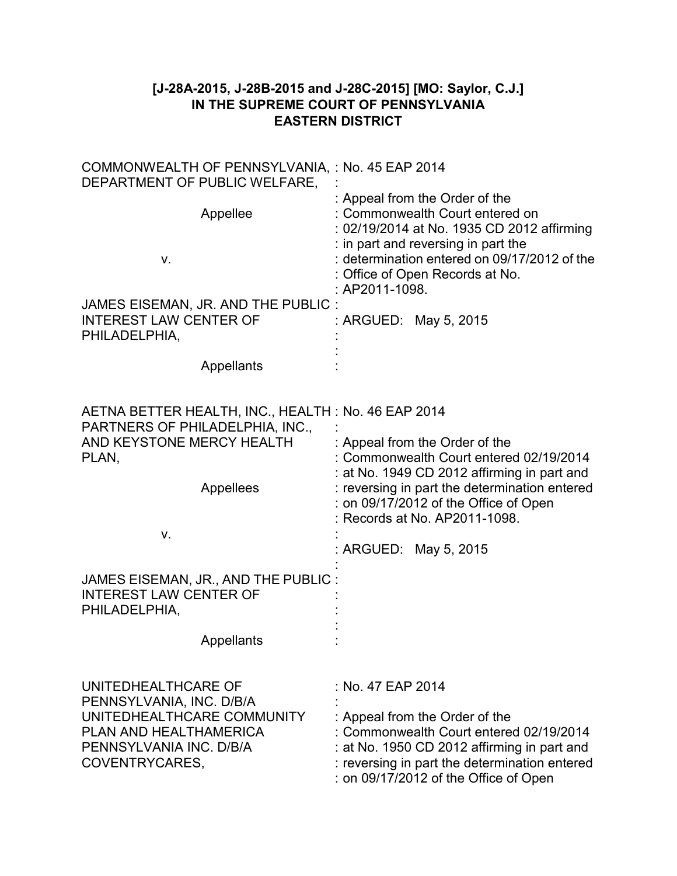## **[J-28A-2015, J-28B-2015 and J-28C-2015] [MO: Saylor, C.J.] IN THE SUPREME COURT OF PENNSYLVANIA EASTERN DISTRICT**

| COMMONWEALTH OF PENNSYLVANIA, : No. 45 EAP 2014<br>DEPARTMENT OF PUBLIC WELFARE,                                                                                                                                                        |                                                                                                                                                                                                                                                                              |  |
|-----------------------------------------------------------------------------------------------------------------------------------------------------------------------------------------------------------------------------------------|------------------------------------------------------------------------------------------------------------------------------------------------------------------------------------------------------------------------------------------------------------------------------|--|
| Appellee<br>ν.                                                                                                                                                                                                                          | : Appeal from the Order of the<br>: Commonwealth Court entered on<br>: 02/19/2014 at No. 1935 CD 2012 affirming<br>: in part and reversing in part the<br>: determination entered on 09/17/2012 of the<br>: Office of Open Records at No.<br>: AP2011-1098.                  |  |
| JAMES EISEMAN, JR. AND THE PUBLIC:<br><b>INTEREST LAW CENTER OF</b><br>PHILADELPHIA,                                                                                                                                                    | : ARGUED: May 5, 2015                                                                                                                                                                                                                                                        |  |
| Appellants                                                                                                                                                                                                                              |                                                                                                                                                                                                                                                                              |  |
| AETNA BETTER HEALTH, INC., HEALTH: No. 46 EAP 2014<br>PARTNERS OF PHILADELPHIA, INC.,<br>AND KEYSTONE MERCY HEALTH<br>PLAN,<br>Appellees<br>٧.<br>JAMES EISEMAN, JR., AND THE PUBLIC:<br><b>INTEREST LAW CENTER OF</b><br>PHILADELPHIA, | : Appeal from the Order of the<br>: Commonwealth Court entered 02/19/2014<br>: at No. 1949 CD 2012 affirming in part and<br>: reversing in part the determination entered<br>: on 09/17/2012 of the Office of Open<br>: Records at No. AP2011-1098.<br>: ARGUED: May 5, 2015 |  |
| Appellants                                                                                                                                                                                                                              |                                                                                                                                                                                                                                                                              |  |
| UNITEDHEALTHCARE OF<br>PENNSYLVANIA, INC. D/B/A<br>UNITEDHEALTHCARE COMMUNITY<br>PLAN AND HEALTHAMERICA<br>PENNSYLVANIA INC. D/B/A<br>COVENTRYCARES,                                                                                    | : No. 47 EAP 2014<br>: Appeal from the Order of the<br>: Commonwealth Court entered 02/19/2014<br>: at No. 1950 CD 2012 affirming in part and<br>: reversing in part the determination entered<br>: on 09/17/2012 of the Office of Open                                      |  |